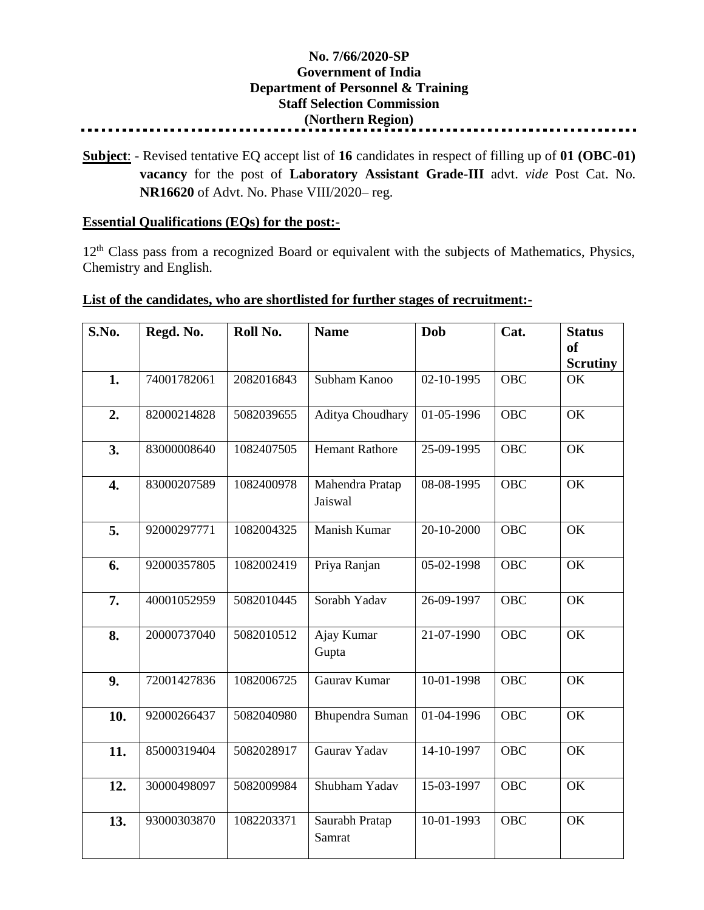## **No. 7/66/2020-SP Government of India Department of Personnel & Training Staff Selection Commission (Northern Region)**

**Subject**: - Revised tentative EQ accept list of **16** candidates in respect of filling up of **01 (OBC-01) vacancy** for the post of **Laboratory Assistant Grade-III** advt. *vide* Post Cat. No. **NR16620** of Advt. No. Phase VIII/2020– reg.

## **Essential Qualifications (EQs) for the post:-**

12<sup>th</sup> Class pass from a recognized Board or equivalent with the subjects of Mathematics, Physics, Chemistry and English.

## **List of the candidates, who are shortlisted for further stages of recruitment:-**

| S.No.            | Regd. No.   | Roll No.   | <b>Name</b>                | Dob                      | Cat.       | <b>Status</b><br><sub>of</sub><br><b>Scrutiny</b> |
|------------------|-------------|------------|----------------------------|--------------------------|------------|---------------------------------------------------|
| 1.               | 74001782061 | 2082016843 | Subham Kanoo               | 02-10-1995               | <b>OBC</b> | OK                                                |
| 2.               | 82000214828 | 5082039655 | Aditya Choudhary           | 01-05-1996               | OBC        | OK                                                |
| 3.               | 83000008640 | 1082407505 | <b>Hemant Rathore</b>      | 25-09-1995               | <b>OBC</b> | OK                                                |
| $\overline{4}$ . | 83000207589 | 1082400978 | Mahendra Pratap<br>Jaiswal | 08-08-1995               | <b>OBC</b> | OK                                                |
| 5.               | 92000297771 | 1082004325 | Manish Kumar               | 20-10-2000               | <b>OBC</b> | OK                                                |
| 6.               | 92000357805 | 1082002419 | Priya Ranjan               | 05-02-1998               | <b>OBC</b> | OK                                                |
| 7.               | 40001052959 | 5082010445 | Sorabh Yadav               | 26-09-1997               | <b>OBC</b> | OK                                                |
| 8.               | 20000737040 | 5082010512 | Ajay Kumar<br>Gupta        | 21-07-1990               | <b>OBC</b> | OK                                                |
| 9.               | 72001427836 | 1082006725 | Gaurav Kumar               | 10-01-1998               | <b>OBC</b> | OK                                                |
| 10.              | 92000266437 | 5082040980 | Bhupendra Suman            | $\overline{01}$ -04-1996 | <b>OBC</b> | OK                                                |
| 11.              | 85000319404 | 5082028917 | Gaurav Yadav               | 14-10-1997               | <b>OBC</b> | OK                                                |
| 12.              | 30000498097 | 5082009984 | Shubham Yadav              | 15-03-1997               | <b>OBC</b> | OK                                                |
| 13.              | 93000303870 | 1082203371 | Saurabh Pratap<br>Samrat   | 10-01-1993               | <b>OBC</b> | OK                                                |